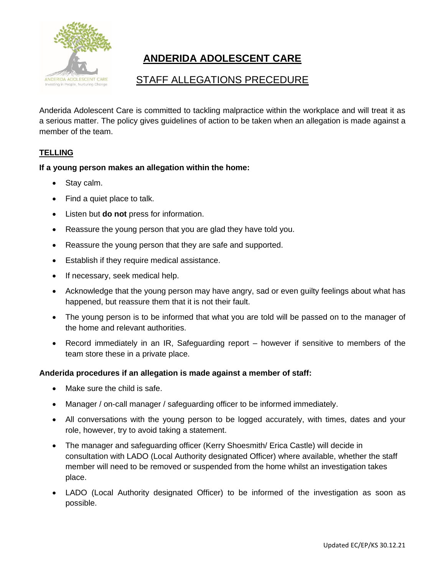

# **ANDERIDA ADOLESCENT CARE**

# STAFF ALLEGATIONS PRECEDURE

Anderida Adolescent Care is committed to tackling malpractice within the workplace and will treat it as a serious matter. The policy gives guidelines of action to be taken when an allegation is made against a member of the team.

# **TELLING**

# **If a young person makes an allegation within the home:**

- Stay calm.
- Find a quiet place to talk.
- Listen but **do not** press for information.
- Reassure the young person that you are glad they have told you.
- Reassure the young person that they are safe and supported.
- Establish if they require medical assistance.
- If necessary, seek medical help.
- Acknowledge that the young person may have angry, sad or even guilty feelings about what has happened, but reassure them that it is not their fault.
- The young person is to be informed that what you are told will be passed on to the manager of the home and relevant authorities.
- Record immediately in an IR, Safeguarding report however if sensitive to members of the team store these in a private place.

### **Anderida procedures if an allegation is made against a member of staff:**

- Make sure the child is safe.
- Manager / on-call manager / safeguarding officer to be informed immediately.
- All conversations with the young person to be logged accurately, with times, dates and your role, however, try to avoid taking a statement.
- The manager and safeguarding officer (Kerry Shoesmith/ Erica Castle) will decide in consultation with LADO (Local Authority designated Officer) where available, whether the staff member will need to be removed or suspended from the home whilst an investigation takes place.
- LADO (Local Authority designated Officer) to be informed of the investigation as soon as possible.